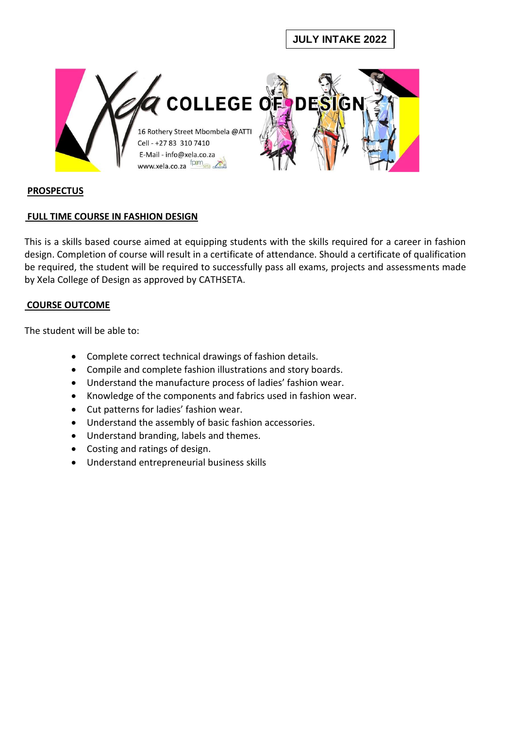# **JULY INTAKE 2022**



### **PROSPECTUS**

### **FULL TIME COURSE IN FASHION DESIGN**

This is a skills based course aimed at equipping students with the skills required for a career in fashion design. Completion of course will result in a certificate of attendance. Should a certificate of qualification be required, the student will be required to successfully pass all exams, projects and assessments made by Xela College of Design as approved by CATHSETA.

### **COURSE OUTCOME**

The student will be able to:

- Complete correct technical drawings of fashion details.
- Compile and complete fashion illustrations and story boards.
- Understand the manufacture process of ladies' fashion wear.
- Knowledge of the components and fabrics used in fashion wear.
- Cut patterns for ladies' fashion wear.
- Understand the assembly of basic fashion accessories.
- Understand branding, labels and themes.
- Costing and ratings of design.
- Understand entrepreneurial business skills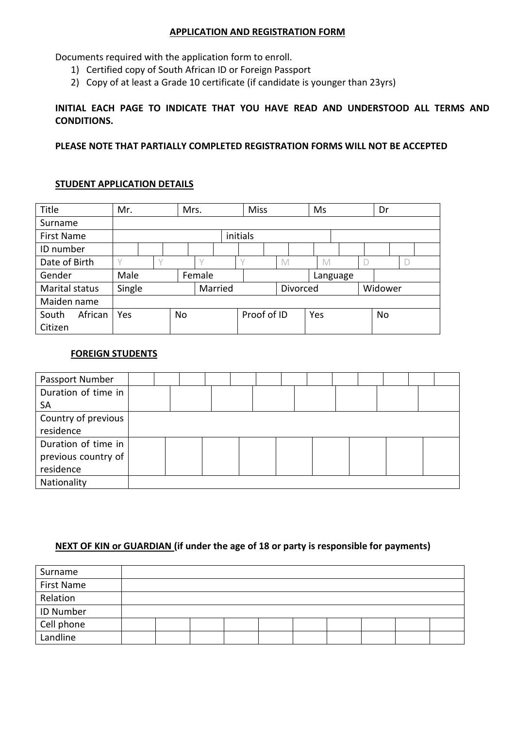#### **APPLICATION AND REGISTRATION FORM**

Documents required with the application form to enroll.

- 1) Certified copy of South African ID or Foreign Passport
- 2) Copy of at least a Grade 10 certificate (if candidate is younger than 23yrs)

### **INITIAL EACH PAGE TO INDICATE THAT YOU HAVE READ AND UNDERSTOOD ALL TERMS AND CONDITIONS.**

**PLEASE NOTE THAT PARTIALLY COMPLETED REGISTRATION FORMS WILL NOT BE ACCEPTED**

### **STUDENT APPLICATION DETAILS**

| Title            | Mr.    |          | Mrs. |        |         | <b>Miss</b> |              |     | Ms       | Dr      |  |
|------------------|--------|----------|------|--------|---------|-------------|--------------|-----|----------|---------|--|
| Surname          |        |          |      |        |         |             |              |     |          |         |  |
| First Name       |        | initials |      |        |         |             |              |     |          |         |  |
| ID number        |        |          |      |        |         |             |              |     |          |         |  |
| Date of Birth    |        |          |      |        |         |             | $\mathbb{M}$ |     | M        |         |  |
| Gender           | Male   |          |      | Female |         |             |              |     | Language |         |  |
| Marital status   | Single |          |      |        | Married |             | Divorced     |     |          | Widower |  |
| Maiden name      |        |          |      |        |         |             |              |     |          |         |  |
| African<br>South | Yes    |          | No   |        |         | Proof of ID |              | Yes |          | No      |  |
| Citizen          |        |          |      |        |         |             |              |     |          |         |  |

### **FOREIGN STUDENTS**

| Passport Number     |  |  |  |  |  |  |  |
|---------------------|--|--|--|--|--|--|--|
| Duration of time in |  |  |  |  |  |  |  |
| <b>SA</b>           |  |  |  |  |  |  |  |
| Country of previous |  |  |  |  |  |  |  |
| residence           |  |  |  |  |  |  |  |
| Duration of time in |  |  |  |  |  |  |  |
| previous country of |  |  |  |  |  |  |  |
| residence           |  |  |  |  |  |  |  |
| Nationality         |  |  |  |  |  |  |  |

### **NEXT OF KIN or GUARDIAN (if under the age of 18 or party is responsible for payments)**

| Surname          |  |  |  |  |  |
|------------------|--|--|--|--|--|
| First Name       |  |  |  |  |  |
| Relation         |  |  |  |  |  |
| <b>ID Number</b> |  |  |  |  |  |
| Cell phone       |  |  |  |  |  |
| Landline         |  |  |  |  |  |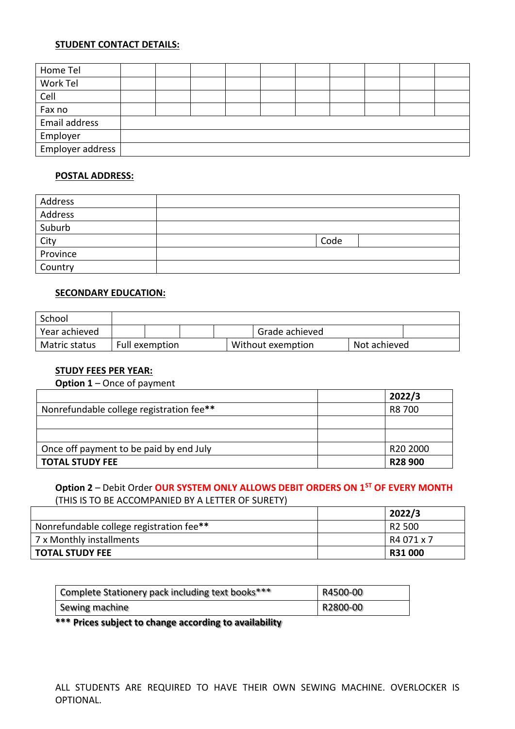### **STUDENT CONTACT DETAILS:**

| Home Tel         |  |  |  |  |  |
|------------------|--|--|--|--|--|
| Work Tel         |  |  |  |  |  |
| Cell             |  |  |  |  |  |
| Fax no           |  |  |  |  |  |
| Email address    |  |  |  |  |  |
| Employer         |  |  |  |  |  |
| Employer address |  |  |  |  |  |

### **POSTAL ADDRESS:**

| Address  |      |  |
|----------|------|--|
| Address  |      |  |
| Suburb   |      |  |
| City     | Code |  |
| Province |      |  |
| Country  |      |  |

### **SECONDARY EDUCATION:**

| School        |                |  |                   |              |  |
|---------------|----------------|--|-------------------|--------------|--|
| Year achieved |                |  | Grade achieved    |              |  |
| Matric status | Full exemption |  | Without exemption | Not achieved |  |

### **STUDY FEES PER YEAR:**

| <b>Option 1</b> – Once of payment        |                      |  |  |  |
|------------------------------------------|----------------------|--|--|--|
|                                          | 2022/3               |  |  |  |
| Nonrefundable college registration fee** | R8 700               |  |  |  |
|                                          |                      |  |  |  |
|                                          |                      |  |  |  |
| Once off payment to be paid by end July  | R <sub>20</sub> 2000 |  |  |  |
| <b>TOTAL STUDY FEE</b>                   | R <sub>28</sub> 900  |  |  |  |

# **Option 2** – Debit Order **OUR SYSTEM ONLY ALLOWS DEBIT ORDERS ON 1ST OF EVERY MONTH** (THIS IS TO BE ACCOMPANIED BY A LETTER OF SURETY)

|                                          | 2022/3         |
|------------------------------------------|----------------|
| Nonrefundable college registration fee** | R2 500         |
| 7 x Monthly installments                 | l R4 071 x 7   |
| <b>TOTAL STUDY FEE</b>                   | <b>R31 000</b> |

| Complete Stationery pack including text books*** | R4500-00 |
|--------------------------------------------------|----------|
| Sewing machine                                   | R2800-00 |

#### **\*\*\* Prices subject to change according to availability**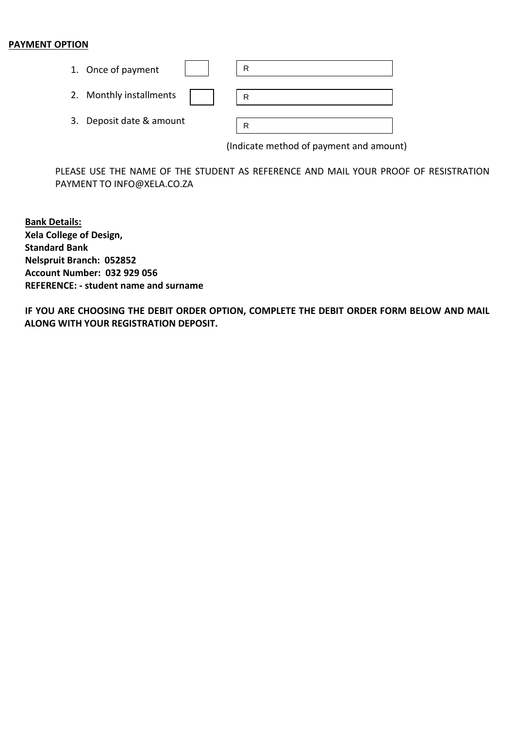### **PAYMENT OPTION**

| 1. Once of payment       | R |
|--------------------------|---|
| 2. Monthly installments  | R |
| 3. Deposit date & amount | R |

(Indicate method of payment and amount)

PLEASE USE THE NAME OF THE STUDENT AS REFERENCE AND MAIL YOUR PROOF OF RESISTRATION PAYMENT TO INFO@XELA.CO.ZA

**Bank Details: Xela College of Design, Standard Bank Nelspruit Branch: 052852 Account Number: 032 929 056 REFERENCE: - student name and surname** 

**IF YOU ARE CHOOSING THE DEBIT ORDER OPTION, COMPLETE THE DEBIT ORDER FORM BELOW AND MAIL ALONG WITH YOUR REGISTRATION DEPOSIT.**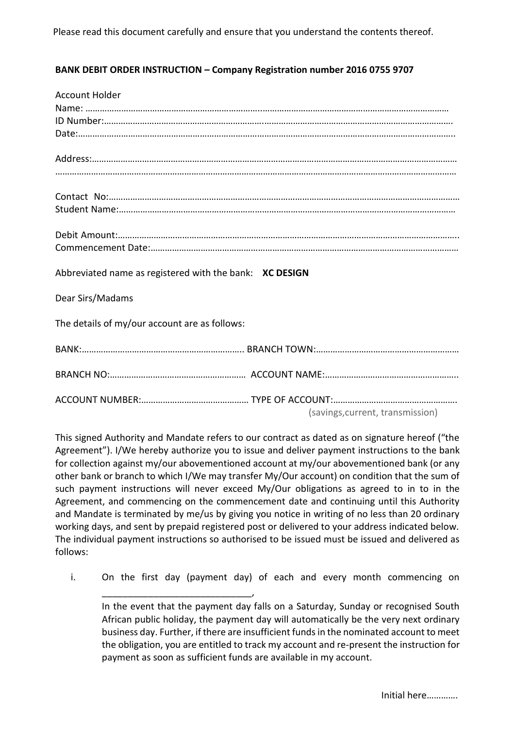### **BANK DEBIT ORDER INSTRUCTION – Company Registration number 2016 0755 9707**

| <b>Account Holder</b>                                   |
|---------------------------------------------------------|
|                                                         |
|                                                         |
|                                                         |
|                                                         |
|                                                         |
|                                                         |
|                                                         |
|                                                         |
|                                                         |
|                                                         |
|                                                         |
|                                                         |
|                                                         |
| Abbreviated name as registered with the bank: XC DESIGN |
| Dear Sirs/Madams                                        |
|                                                         |
| The details of my/our account are as follows:           |
|                                                         |
|                                                         |
|                                                         |
|                                                         |
|                                                         |
|                                                         |
| (savings, current, transmission)                        |

This signed Authority and Mandate refers to our contract as dated as on signature hereof ("the Agreement"). I/We hereby authorize you to issue and deliver payment instructions to the bank for collection against my/our abovementioned account at my/our abovementioned bank (or any other bank or branch to which I/We may transfer My/Our account) on condition that the sum of such payment instructions will never exceed My/Our obligations as agreed to in to in the Agreement, and commencing on the commencement date and continuing until this Authority and Mandate is terminated by me/us by giving you notice in writing of no less than 20 ordinary working days, and sent by prepaid registered post or delivered to your address indicated below. The individual payment instructions so authorised to be issued must be issued and delivered as follows:

i. On the first day (payment day) of each and every month commencing on

\_\_\_\_\_\_\_\_\_\_\_\_\_\_\_\_\_\_\_\_\_\_\_\_\_\_\_\_\_,

In the event that the payment day falls on a Saturday, Sunday or recognised South African public holiday, the payment day will automatically be the very next ordinary business day. Further, if there are insufficient funds in the nominated account to meet the obligation, you are entitled to track my account and re-present the instruction for payment as soon as sufficient funds are available in my account.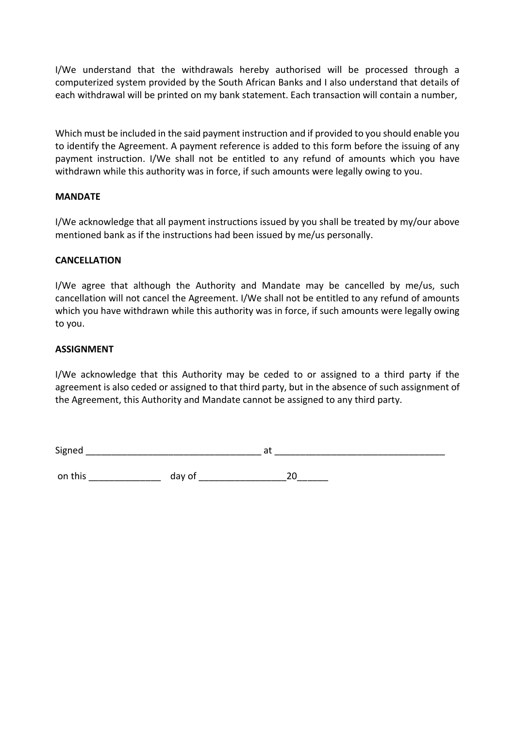I/We understand that the withdrawals hereby authorised will be processed through a computerized system provided by the South African Banks and I also understand that details of each withdrawal will be printed on my bank statement. Each transaction will contain a number,

Which must be included in the said payment instruction and if provided to you should enable you to identify the Agreement. A payment reference is added to this form before the issuing of any payment instruction. I/We shall not be entitled to any refund of amounts which you have withdrawn while this authority was in force, if such amounts were legally owing to you.

### **MANDATE**

I/We acknowledge that all payment instructions issued by you shall be treated by my/our above mentioned bank as if the instructions had been issued by me/us personally.

### **CANCELLATION**

I/We agree that although the Authority and Mandate may be cancelled by me/us, such cancellation will not cancel the Agreement. I/We shall not be entitled to any refund of amounts which you have withdrawn while this authority was in force, if such amounts were legally owing to you.

### **ASSIGNMENT**

I/We acknowledge that this Authority may be ceded to or assigned to a third party if the agreement is also ceded or assigned to that third party, but in the absence of such assignment of the Agreement, this Authority and Mandate cannot be assigned to any third party.

Signed at the state of  $\mathsf{a}$  at  $\mathsf{a}$  at  $\mathsf{a}$ 

on this \_\_\_\_\_\_\_\_\_\_\_\_\_\_ day of \_\_\_\_\_\_\_\_\_\_\_\_\_\_\_\_\_20\_\_\_\_\_\_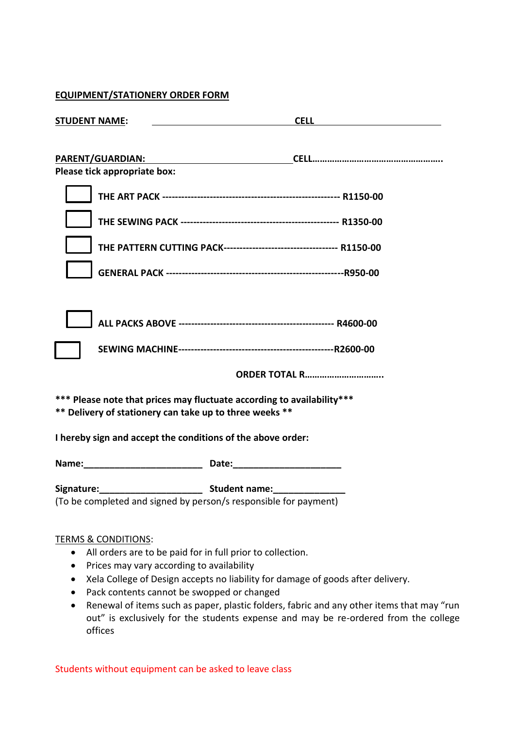### **EQUIPMENT/STATIONERY ORDER FORM**

| <b>STUDENT NAME:</b>                                        | <b>CELL</b><br><u> 1989 - Andrea State Barbara, politik e po</u>       |
|-------------------------------------------------------------|------------------------------------------------------------------------|
| PARENT/GUARDIAN:<br>Please tick appropriate box:            |                                                                        |
|                                                             |                                                                        |
|                                                             |                                                                        |
|                                                             |                                                                        |
|                                                             |                                                                        |
|                                                             |                                                                        |
|                                                             |                                                                        |
|                                                             |                                                                        |
|                                                             | <b>ORDER TOTAL R</b>                                                   |
| ** Delivery of stationery can take up to three weeks **     | *** Please note that prices may fluctuate according to availability*** |
| I hereby sign and accept the conditions of the above order: |                                                                        |
|                                                             |                                                                        |
|                                                             | (To be completed and signed by person/s responsible for payment)       |
| <b>TERMS &amp; CONDITIONS:</b>                              | All orders are to be paid for in full prior to collection.             |
| Prices may vary according to availability                   |                                                                        |

- Xela College of Design accepts no liability for damage of goods after delivery.
- Pack contents cannot be swopped or changed
- Renewal of items such as paper, plastic folders, fabric and any other items that may "run out" is exclusively for the students expense and may be re-ordered from the college offices

Students without equipment can be asked to leave class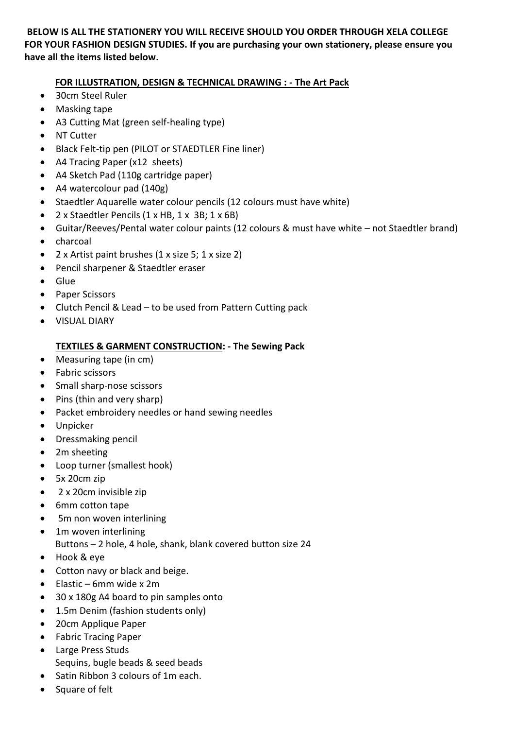## **BELOW IS ALL THE STATIONERY YOU WILL RECEIVE SHOULD YOU ORDER THROUGH XELA COLLEGE FOR YOUR FASHION DESIGN STUDIES. If you are purchasing your own stationery, please ensure you have all the items listed below.**

## **FOR ILLUSTRATION, DESIGN & TECHNICAL DRAWING : - The Art Pack**

- 30cm Steel Ruler
- Masking tape
- A3 Cutting Mat (green self-healing type)
- NT Cutter
- Black Felt-tip pen (PILOT or STAEDTLER Fine liner)
- A4 Tracing Paper (x12 sheets)
- A4 Sketch Pad (110g cartridge paper)
- A4 watercolour pad (140g)
- Staedtler Aquarelle water colour pencils (12 colours must have white)
- 2 x Staedtler Pencils (1 x HB, 1 x 3B; 1 x 6B)
- Guitar/Reeves/Pental water colour paints (12 colours & must have white not Staedtler brand)
- charcoal
- 2 x Artist paint brushes (1 x size 5; 1 x size 2)
- Pencil sharpener & Staedtler eraser
- Glue
- Paper Scissors
- Clutch Pencil & Lead to be used from Pattern Cutting pack
- VISUAL DIARY

# **TEXTILES & GARMENT CONSTRUCTION: - The Sewing Pack**

- Measuring tape (in cm)
- Fabric scissors
- Small sharp-nose scissors
- Pins (thin and very sharp)
- Packet embroidery needles or hand sewing needles
- Unpicker
- Dressmaking pencil
- 2m sheeting
- Loop turner (smallest hook)
- 5x 20cm zip
- 2 x 20cm invisible zip
- 6mm cotton tape
- 5m non woven interlining
- 1m woven interlining
- Buttons 2 hole, 4 hole, shank, blank covered button size 24
- Hook & eye
- Cotton navy or black and beige.
- $\bullet$  Elastic 6mm wide x 2m
- 30 x 180g A4 board to pin samples onto
- 1.5m Denim (fashion students only)
- 20cm Applique Paper
- Fabric Tracing Paper
- Large Press Studs Sequins, bugle beads & seed beads
- Satin Ribbon 3 colours of 1m each.
- Square of felt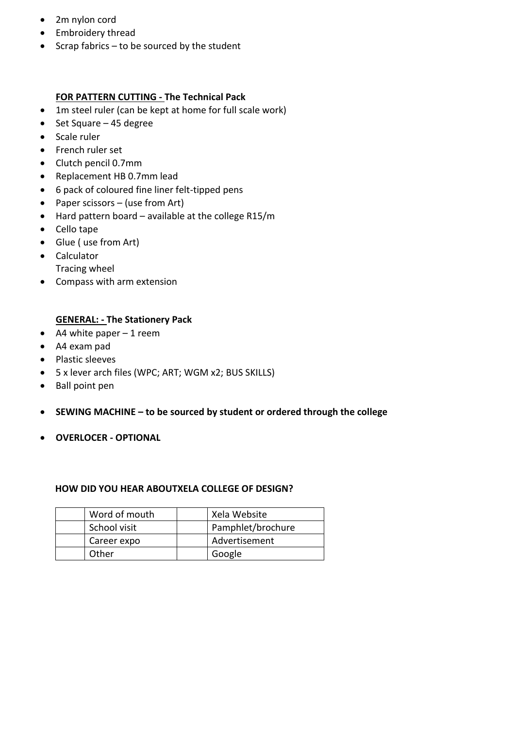- 2m nylon cord
- Embroidery thread
- $\bullet$  Scrap fabrics to be sourced by the student

## **FOR PATTERN CUTTING - The Technical Pack**

- 1m steel ruler (can be kept at home for full scale work)
- $\bullet$  Set Square 45 degree
- Scale ruler
- French ruler set
- Clutch pencil 0.7mm
- Replacement HB 0.7mm lead
- 6 pack of coloured fine liner felt-tipped pens
- Paper scissors (use from Art)
- Hard pattern board available at the college R15/m
- Cello tape
- Glue ( use from Art)
- Calculator Tracing wheel
- Compass with arm extension

### **GENERAL: - The Stationery Pack**

- $\bullet$  A4 white paper 1 reem
- A4 exam pad
- Plastic sleeves
- 5 x lever arch files (WPC; ART; WGM x2; BUS SKILLS)
- Ball point pen
- **SEWING MACHINE – to be sourced by student or ordered through the college**
- **OVERLOCER - OPTIONAL**

### **HOW DID YOU HEAR ABOUTXELA COLLEGE OF DESIGN?**

| Word of mouth | Xela Website      |
|---------------|-------------------|
| School visit  | Pamphlet/brochure |
| Career expo   | Advertisement     |
| Other         | Google            |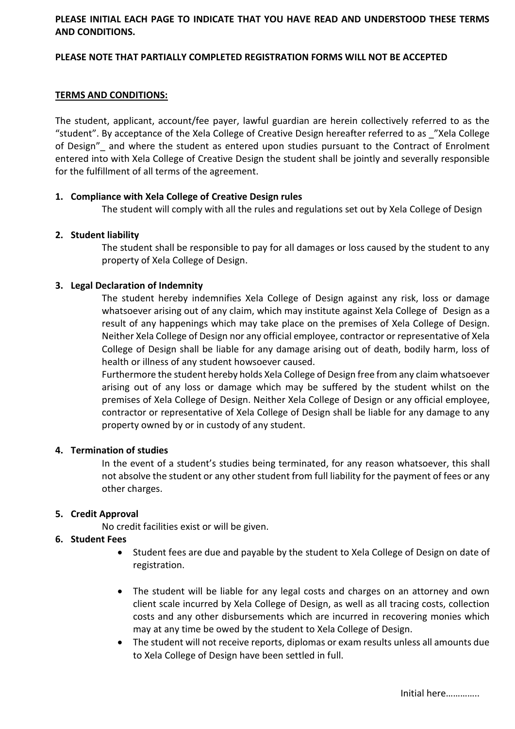### **PLEASE INITIAL EACH PAGE TO INDICATE THAT YOU HAVE READ AND UNDERSTOOD THESE TERMS AND CONDITIONS.**

### **PLEASE NOTE THAT PARTIALLY COMPLETED REGISTRATION FORMS WILL NOT BE ACCEPTED**

### **TERMS AND CONDITIONS:**

The student, applicant, account/fee payer, lawful guardian are herein collectively referred to as the "student". By acceptance of the Xela College of Creative Design hereafter referred to as \_"Xela College of Design" and where the student as entered upon studies pursuant to the Contract of Enrolment entered into with Xela College of Creative Design the student shall be jointly and severally responsible for the fulfillment of all terms of the agreement.

#### **1. Compliance with Xela College of Creative Design rules**

The student will comply with all the rules and regulations set out by Xela College of Design

#### **2. Student liability**

The student shall be responsible to pay for all damages or loss caused by the student to any property of Xela College of Design.

#### **3. Legal Declaration of Indemnity**

The student hereby indemnifies Xela College of Design against any risk, loss or damage whatsoever arising out of any claim, which may institute against Xela College of Design as a result of any happenings which may take place on the premises of Xela College of Design. Neither Xela College of Design nor any official employee, contractor or representative of Xela College of Design shall be liable for any damage arising out of death, bodily harm, loss of health or illness of any student howsoever caused.

Furthermore the student hereby holds Xela College of Design free from any claim whatsoever arising out of any loss or damage which may be suffered by the student whilst on the premises of Xela College of Design. Neither Xela College of Design or any official employee, contractor or representative of Xela College of Design shall be liable for any damage to any property owned by or in custody of any student.

#### **4. Termination of studies**

In the event of a student's studies being terminated, for any reason whatsoever, this shall not absolve the student or any other student from full liability for the payment of fees or any other charges.

#### **5. Credit Approval**

No credit facilities exist or will be given.

### **6. Student Fees**

- Student fees are due and payable by the student to Xela College of Design on date of registration.
- The student will be liable for any legal costs and charges on an attorney and own client scale incurred by Xela College of Design, as well as all tracing costs, collection costs and any other disbursements which are incurred in recovering monies which may at any time be owed by the student to Xela College of Design.
- The student will not receive reports, diplomas or exam results unless all amounts due to Xela College of Design have been settled in full.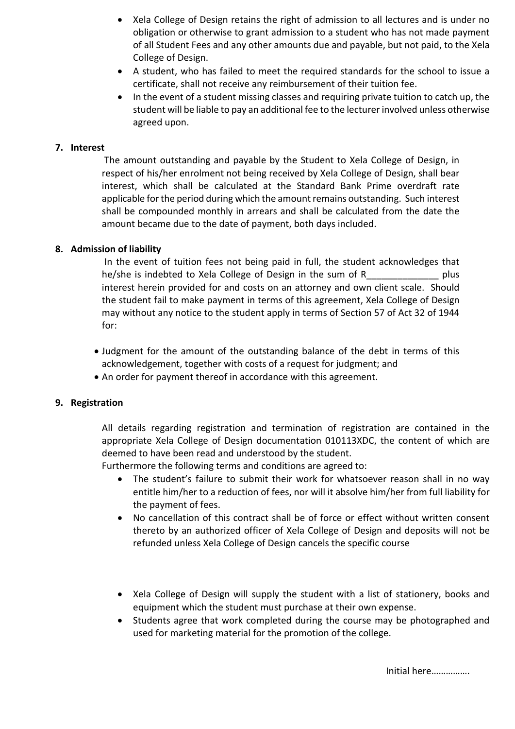- Xela College of Design retains the right of admission to all lectures and is under no obligation or otherwise to grant admission to a student who has not made payment of all Student Fees and any other amounts due and payable, but not paid, to the Xela College of Design.
- A student, who has failed to meet the required standards for the school to issue a certificate, shall not receive any reimbursement of their tuition fee.
- In the event of a student missing classes and requiring private tuition to catch up, the student will be liable to pay an additional fee to the lecturer involved unless otherwise agreed upon.

### **7. Interest**

The amount outstanding and payable by the Student to Xela College of Design, in respect of his/her enrolment not being received by Xela College of Design, shall bear interest, which shall be calculated at the Standard Bank Prime overdraft rate applicable for the period during which the amount remains outstanding. Such interest shall be compounded monthly in arrears and shall be calculated from the date the amount became due to the date of payment, both days included.

### **8. Admission of liability**

In the event of tuition fees not being paid in full, the student acknowledges that he/she is indebted to Xela College of Design in the sum of R\_\_\_\_\_\_\_\_\_\_\_\_\_\_\_ plus interest herein provided for and costs on an attorney and own client scale. Should the student fail to make payment in terms of this agreement, Xela College of Design may without any notice to the student apply in terms of Section 57 of Act 32 of 1944 for:

- Judgment for the amount of the outstanding balance of the debt in terms of this acknowledgement, together with costs of a request for judgment; and
- An order for payment thereof in accordance with this agreement.

### **9. Registration**

All details regarding registration and termination of registration are contained in the appropriate Xela College of Design documentation 010113XDC, the content of which are deemed to have been read and understood by the student.

Furthermore the following terms and conditions are agreed to:

- The student's failure to submit their work for whatsoever reason shall in no way entitle him/her to a reduction of fees, nor will it absolve him/her from full liability for the payment of fees.
- No cancellation of this contract shall be of force or effect without written consent thereto by an authorized officer of Xela College of Design and deposits will not be refunded unless Xela College of Design cancels the specific course
- Xela College of Design will supply the student with a list of stationery, books and equipment which the student must purchase at their own expense.
- Students agree that work completed during the course may be photographed and used for marketing material for the promotion of the college.

Initial here…………….